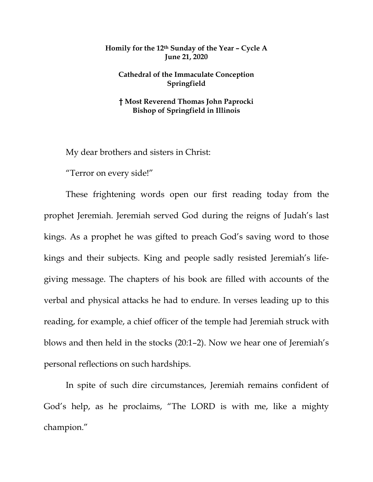## **Homily for the 12th Sunday of the Year – Cycle A June 21, 2020**

## **Cathedral of the Immaculate Conception Springfield**

## **† Most Reverend Thomas John Paprocki Bishop of Springfield in Illinois**

My dear brothers and sisters in Christ:

"Terror on every side!"

These frightening words open our first reading today from the prophet Jeremiah. Jeremiah served God during the reigns of Judah's last kings. As a prophet he was gifted to preach God's saving word to those kings and their subjects. King and people sadly resisted Jeremiah's lifegiving message. The chapters of his book are filled with accounts of the verbal and physical attacks he had to endure. In verses leading up to this reading, for example, a chief officer of the temple had Jeremiah struck with blows and then held in the stocks (20:1–2). Now we hear one of Jeremiah's personal reflections on such hardships.

In spite of such dire circumstances, Jeremiah remains confident of God's help, as he proclaims, "The LORD is with me, like a mighty champion."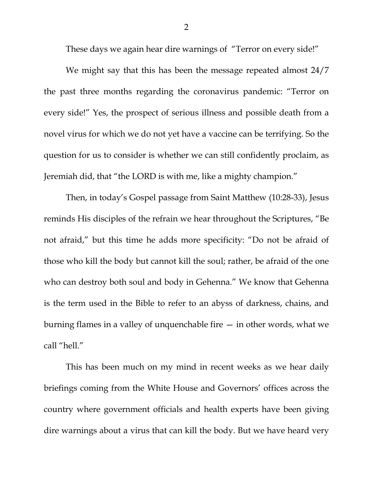These days we again hear dire warnings of "Terror on every side!"

We might say that this has been the message repeated almost 24/7 the past three months regarding the coronavirus pandemic: "Terror on every side!" Yes, the prospect of serious illness and possible death from a novel virus for which we do not yet have a vaccine can be terrifying. So the question for us to consider is whether we can still confidently proclaim, as Jeremiah did, that "the LORD is with me, like a mighty champion."

Then, in today's Gospel passage from Saint Matthew (10:28-33), Jesus reminds His disciples of the refrain we hear throughout the Scriptures, "Be not afraid," but this time he adds more specificity: "Do not be afraid of those who kill the body but cannot kill the soul; rather, be afraid of the one who can destroy both soul and body in Gehenna." We know that Gehenna is the term used in the Bible to refer to an abyss of darkness, chains, and burning flames in a valley of unquenchable fire — in other words, what we call "hell."

This has been much on my mind in recent weeks as we hear daily briefings coming from the White House and Governors' offices across the country where government officials and health experts have been giving dire warnings about a virus that can kill the body. But we have heard very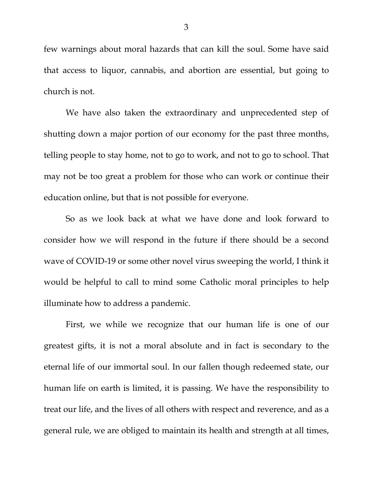few warnings about moral hazards that can kill the soul. Some have said that access to liquor, cannabis, and abortion are essential, but going to church is not.

We have also taken the extraordinary and unprecedented step of shutting down a major portion of our economy for the past three months, telling people to stay home, not to go to work, and not to go to school. That may not be too great a problem for those who can work or continue their education online, but that is not possible for everyone.

So as we look back at what we have done and look forward to consider how we will respond in the future if there should be a second wave of COVID-19 or some other novel virus sweeping the world, I think it would be helpful to call to mind some Catholic moral principles to help illuminate how to address a pandemic.

First, we while we recognize that our human life is one of our greatest gifts, it is not a moral absolute and in fact is secondary to the eternal life of our immortal soul. In our fallen though redeemed state, our human life on earth is limited, it is passing. We have the responsibility to treat our life, and the lives of all others with respect and reverence, and as a general rule, we are obliged to maintain its health and strength at all times,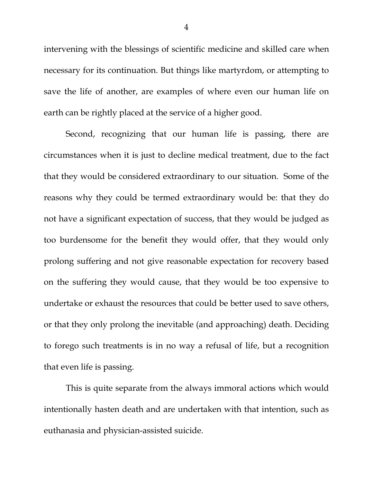intervening with the blessings of scientific medicine and skilled care when necessary for its continuation. But things like martyrdom, or attempting to save the life of another, are examples of where even our human life on earth can be rightly placed at the service of a higher good.

Second, recognizing that our human life is passing, there are circumstances when it is just to decline medical treatment, due to the fact that they would be considered extraordinary to our situation. Some of the reasons why they could be termed extraordinary would be: that they do not have a significant expectation of success, that they would be judged as too burdensome for the benefit they would offer, that they would only prolong suffering and not give reasonable expectation for recovery based on the suffering they would cause, that they would be too expensive to undertake or exhaust the resources that could be better used to save others, or that they only prolong the inevitable (and approaching) death. Deciding to forego such treatments is in no way a refusal of life, but a recognition that even life is passing.

This is quite separate from the always immoral actions which would intentionally hasten death and are undertaken with that intention, such as euthanasia and physician-assisted suicide.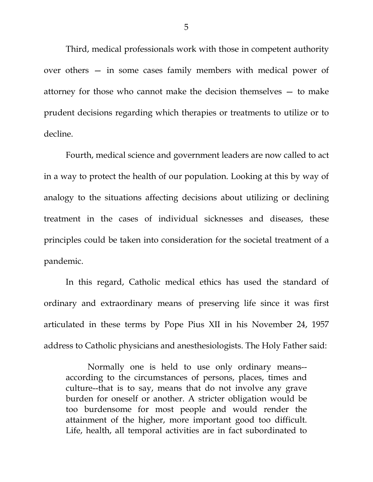Third, medical professionals work with those in competent authority over others — in some cases family members with medical power of attorney for those who cannot make the decision themselves — to make prudent decisions regarding which therapies or treatments to utilize or to decline.

Fourth, medical science and government leaders are now called to act in a way to protect the health of our population. Looking at this by way of analogy to the situations affecting decisions about utilizing or declining treatment in the cases of individual sicknesses and diseases, these principles could be taken into consideration for the societal treatment of a pandemic.

In this regard, Catholic medical ethics has used the standard of ordinary and extraordinary means of preserving life since it was first articulated in these terms by Pope Pius XII in his November 24, 1957 address to Catholic physicians and anesthesiologists. The Holy Father said:

Normally one is held to use only ordinary means- according to the circumstances of persons, places, times and culture--that is to say, means that do not involve any grave burden for oneself or another. A stricter obligation would be too burdensome for most people and would render the attainment of the higher, more important good too difficult. Life, health, all temporal activities are in fact subordinated to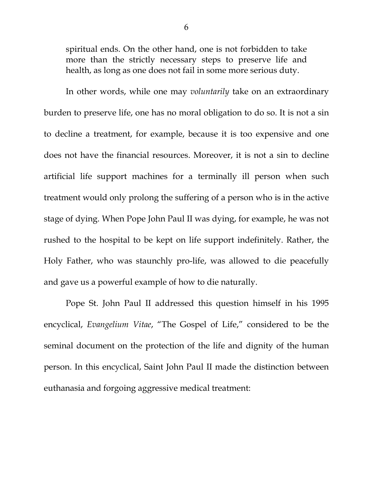spiritual ends. On the other hand, one is not forbidden to take more than the strictly necessary steps to preserve life and health, as long as one does not fail in some more serious duty.

In other words, while one may *voluntarily* take on an extraordinary burden to preserve life, one has no moral obligation to do so. It is not a sin to decline a treatment, for example, because it is too expensive and one does not have the financial resources. Moreover, it is not a sin to decline artificial life support machines for a terminally ill person when such treatment would only prolong the suffering of a person who is in the active stage of dying. When Pope John Paul II was dying, for example, he was not rushed to the hospital to be kept on life support indefinitely. Rather, the Holy Father, who was staunchly pro-life, was allowed to die peacefully and gave us a powerful example of how to die naturally.

Pope St. John Paul II addressed this question himself in his 1995 encyclical, *Evangelium Vitae*, "The Gospel of Life," considered to be the seminal document on the protection of the life and dignity of the human person. In this encyclical, Saint John Paul II made the distinction between euthanasia and forgoing aggressive medical treatment: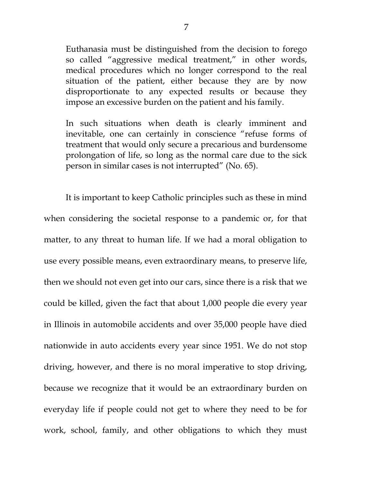Euthanasia must be distinguished from the decision to forego so called "aggressive medical treatment," in other words, medical procedures which no longer correspond to the real situation of the patient, either because they are by now disproportionate to any expected results or because they impose an excessive burden on the patient and his family.

In such situations when death is clearly imminent and inevitable, one can certainly in conscience "refuse forms of treatment that would only secure a precarious and burdensome prolongation of life, so long as the normal care due to the sick person in similar cases is not interrupted" (No. 65).

It is important to keep Catholic principles such as these in mind when considering the societal response to a pandemic or, for that matter, to any threat to human life. If we had a moral obligation to use every possible means, even extraordinary means, to preserve life, then we should not even get into our cars, since there is a risk that we could be killed, given the fact that about 1,000 people die every year in Illinois in automobile accidents and over 35,000 people have died nationwide in auto accidents every year since 1951. We do not stop driving, however, and there is no moral imperative to stop driving, because we recognize that it would be an extraordinary burden on everyday life if people could not get to where they need to be for work, school, family, and other obligations to which they must